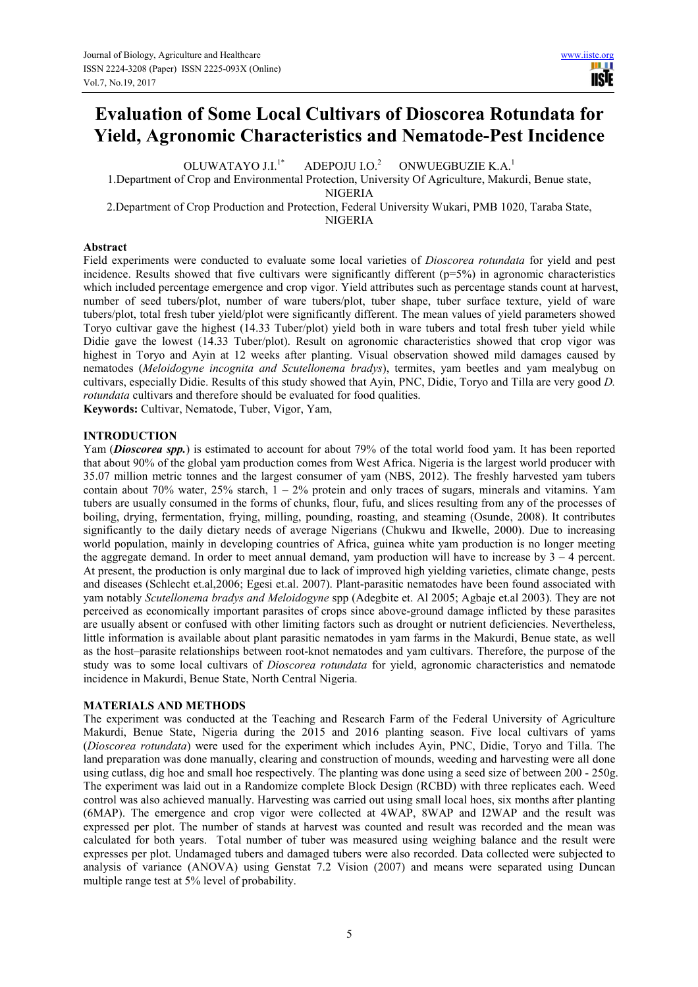# **Evaluation of Some Local Cultivars of Dioscorea Rotundata for Yield, Agronomic Characteristics and Nematode-Pest Incidence**

OLUWATAYO LL<sup>1\*</sup> ADEPOJU I.O.<sup>2</sup> ONWUEGBUZIE K.A.<sup>1</sup> 1.Department of Crop and Environmental Protection, University Of Agriculture, Makurdi, Benue state, NIGERIA 2.Department of Crop Production and Protection, Federal University Wukari, PMB 1020, Taraba State,

NIGERIA

# **Abstract**

Field experiments were conducted to evaluate some local varieties of *Dioscorea rotundata* for yield and pest incidence. Results showed that five cultivars were significantly different  $(p=5%)$  in agronomic characteristics which included percentage emergence and crop vigor. Yield attributes such as percentage stands count at harvest, number of seed tubers/plot, number of ware tubers/plot, tuber shape, tuber surface texture, yield of ware tubers/plot, total fresh tuber yield/plot were significantly different. The mean values of yield parameters showed Toryo cultivar gave the highest (14.33 Tuber/plot) yield both in ware tubers and total fresh tuber yield while Didie gave the lowest (14.33 Tuber/plot). Result on agronomic characteristics showed that crop vigor was highest in Toryo and Ayin at 12 weeks after planting. Visual observation showed mild damages caused by nematodes (*Meloidogyne incognita and Scutellonema bradys*), termites, yam beetles and yam mealybug on cultivars, especially Didie. Results of this study showed that Ayin, PNC, Didie, Toryo and Tilla are very good *D. rotundata* cultivars and therefore should be evaluated for food qualities.

**Keywords:** Cultivar, Nematode, Tuber, Vigor, Yam,

## **INTRODUCTION**

Yam (*Dioscorea spp.*) is estimated to account for about 79% of the total world food yam. It has been reported that about 90% of the global yam production comes from West Africa. Nigeria is the largest world producer with 35.07 million metric tonnes and the largest consumer of yam (NBS, 2012). The freshly harvested yam tubers contain about 70% water,  $25\%$  starch,  $1 - 2\%$  protein and only traces of sugars, minerals and vitamins. Yam tubers are usually consumed in the forms of chunks, flour, fufu, and slices resulting from any of the processes of boiling, drying, fermentation, frying, milling, pounding, roasting, and steaming (Osunde, 2008). It contributes significantly to the daily dietary needs of average Nigerians (Chukwu and Ikwelle, 2000). Due to increasing world population, mainly in developing countries of Africa, guinea white yam production is no longer meeting the aggregate demand. In order to meet annual demand, yam production will have to increase by 3 – 4 percent. At present, the production is only marginal due to lack of improved high yielding varieties, climate change, pests and diseases (Schlecht et.al,2006; Egesi et.al. 2007). Plant-parasitic nematodes have been found associated with yam notably *Scutellonema bradys and Meloidogyne* spp (Adegbite et. Al 2005; Agbaje et.al 2003). They are not perceived as economically important parasites of crops since above-ground damage inflicted by these parasites are usually absent or confused with other limiting factors such as drought or nutrient deficiencies. Nevertheless, little information is available about plant parasitic nematodes in yam farms in the Makurdi, Benue state, as well as the host–parasite relationships between root-knot nematodes and yam cultivars. Therefore, the purpose of the study was to some local cultivars of *Dioscorea rotundata* for yield, agronomic characteristics and nematode incidence in Makurdi, Benue State, North Central Nigeria.

## **MATERIALS AND METHODS**

The experiment was conducted at the Teaching and Research Farm of the Federal University of Agriculture Makurdi, Benue State, Nigeria during the 2015 and 2016 planting season. Five local cultivars of yams (*Dioscorea rotundata*) were used for the experiment which includes Ayin, PNC, Didie, Toryo and Tilla. The land preparation was done manually, clearing and construction of mounds, weeding and harvesting were all done using cutlass, dig hoe and small hoe respectively. The planting was done using a seed size of between 200 - 250g. The experiment was laid out in a Randomize complete Block Design (RCBD) with three replicates each. Weed control was also achieved manually. Harvesting was carried out using small local hoes, six months after planting (6MAP). The emergence and crop vigor were collected at 4WAP, 8WAP and I2WAP and the result was expressed per plot. The number of stands at harvest was counted and result was recorded and the mean was calculated for both years. Total number of tuber was measured using weighing balance and the result were expresses per plot. Undamaged tubers and damaged tubers were also recorded. Data collected were subjected to analysis of variance (ANOVA) using Genstat 7.2 Vision (2007) and means were separated using Duncan multiple range test at 5% level of probability.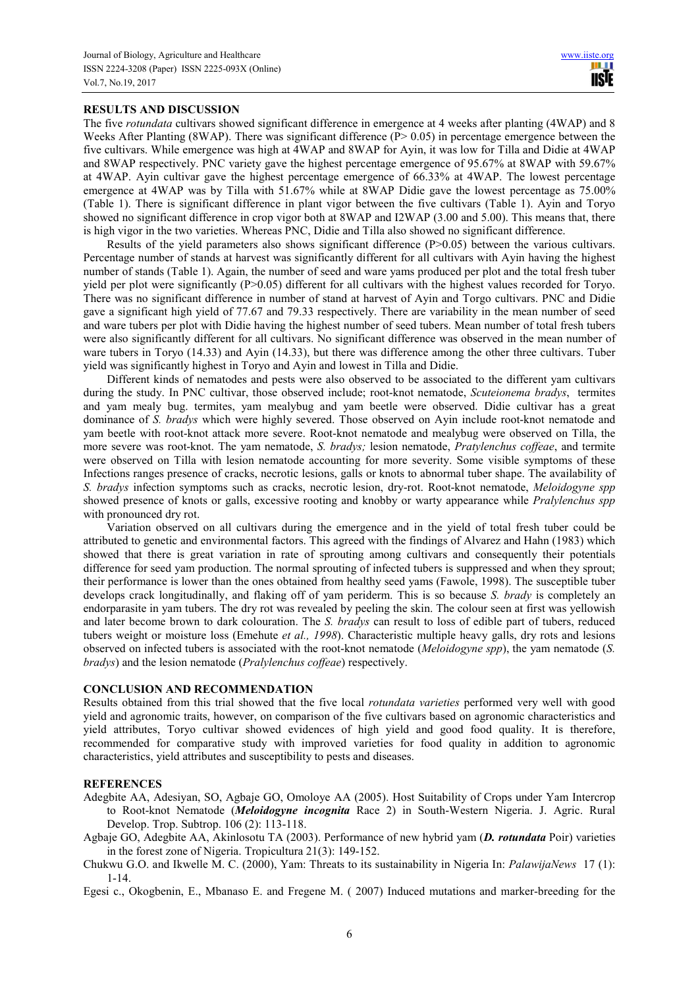## **RESULTS AND DISCUSSION**

The five *rotundata* cultivars showed significant difference in emergence at 4 weeks after planting (4WAP) and 8 Weeks After Planting (8WAP). There was significant difference ( $P > 0.05$ ) in percentage emergence between the five cultivars. While emergence was high at 4WAP and 8WAP for Ayin, it was low for Tilla and Didie at 4WAP and 8WAP respectively. PNC variety gave the highest percentage emergence of 95.67% at 8WAP with 59.67% at 4WAP. Ayin cultivar gave the highest percentage emergence of 66.33% at 4WAP. The lowest percentage emergence at 4WAP was by Tilla with 51.67% while at 8WAP Didie gave the lowest percentage as 75.00% (Table 1). There is significant difference in plant vigor between the five cultivars (Table 1). Ayin and Toryo showed no significant difference in crop vigor both at 8WAP and I2WAP (3.00 and 5.00). This means that, there is high vigor in the two varieties. Whereas PNC, Didie and Tilla also showed no significant difference.

Results of the yield parameters also shows significant difference (P>0.05) between the various cultivars. Percentage number of stands at harvest was significantly different for all cultivars with Ayin having the highest number of stands (Table 1). Again, the number of seed and ware yams produced per plot and the total fresh tuber yield per plot were significantly (P>0.05) different for all cultivars with the highest values recorded for Toryo. There was no significant difference in number of stand at harvest of Ayin and Torgo cultivars. PNC and Didie gave a significant high yield of 77.67 and 79.33 respectively. There are variability in the mean number of seed and ware tubers per plot with Didie having the highest number of seed tubers. Mean number of total fresh tubers were also significantly different for all cultivars. No significant difference was observed in the mean number of ware tubers in Toryo (14.33) and Ayin (14.33), but there was difference among the other three cultivars. Tuber yield was significantly highest in Toryo and Ayin and lowest in Tilla and Didie.

Different kinds of nematodes and pests were also observed to be associated to the different yam cultivars during the study. In PNC cultivar, those observed include; root-knot nematode, *Scuteionema bradys*, termites and yam mealy bug. termites, yam mealybug and yam beetle were observed. Didie cultivar has a great dominance of *S. bradys* which were highly severed. Those observed on Ayin include root-knot nematode and yam beetle with root-knot attack more severe. Root-knot nematode and mealybug were observed on Tilla, the more severe was root-knot. The yam nematode, *S. bradys;* lesion nematode, *Pratylenchus coffeae*, and termite were observed on Tilla with lesion nematode accounting for more severity. Some visible symptoms of these Infections ranges presence of cracks, necrotic lesions, galls or knots to abnormal tuber shape. The availability of *S. bradys* infection symptoms such as cracks, necrotic lesion, dry-rot. Root-knot nematode, *Meloidogyne spp* showed presence of knots or galls, excessive rooting and knobby or warty appearance while *Pralylenchus spp* with pronounced dry rot.

Variation observed on all cultivars during the emergence and in the yield of total fresh tuber could be attributed to genetic and environmental factors. This agreed with the findings of Alvarez and Hahn (1983) which showed that there is great variation in rate of sprouting among cultivars and consequently their potentials difference for seed yam production. The normal sprouting of infected tubers is suppressed and when they sprout; their performance is lower than the ones obtained from healthy seed yams (Fawole, 1998). The susceptible tuber develops crack longitudinally, and flaking off of yam periderm. This is so because *S. brady* is completely an endorparasite in yam tubers. The dry rot was revealed by peeling the skin. The colour seen at first was yellowish and later become brown to dark colouration. The *S. bradys* can result to loss of edible part of tubers, reduced tubers weight or moisture loss (Emehute *et al., 1998*). Characteristic multiple heavy galls, dry rots and lesions observed on infected tubers is associated with the root-knot nematode (*Meloidogyne spp*), the yam nematode (*S. bradys*) and the lesion nematode (*Pralylenchus coffeae*) respectively.

#### **CONCLUSION AND RECOMMENDATION**

Results obtained from this trial showed that the five local *rotundata varieties* performed very well with good yield and agronomic traits, however, on comparison of the five cultivars based on agronomic characteristics and yield attributes, Toryo cultivar showed evidences of high yield and good food quality. It is therefore, recommended for comparative study with improved varieties for food quality in addition to agronomic characteristics, yield attributes and susceptibility to pests and diseases.

#### **REFERENCES**

Adegbite AA, Adesiyan, SO, Agbaje GO, Omoloye AA (2005). Host Suitability of Crops under Yam Intercrop to Root-knot Nematode (*Meloidogyne incognita* Race 2) in South-Western Nigeria. J. Agric. Rural Develop. Trop. Subtrop. 106 (2): 113-118.

Agbaje GO, Adegbite AA, Akinlosotu TA (2003). Performance of new hybrid yam (*D. rotundata* Poir) varieties in the forest zone of Nigeria. Tropicultura 21(3): 149-152.

Chukwu G.O. and Ikwelle M. C. (2000), Yam: Threats to its sustainability in Nigeria In: *PalawijaNews* 17 (1): 1-14.

Egesi c., Okogbenin, E., Mbanaso E. and Fregene M. ( 2007) Induced mutations and marker-breeding for the